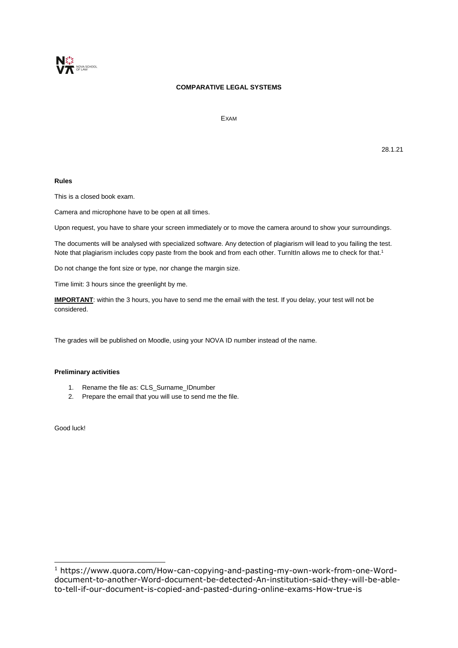

# **COMPARATIVE LEGAL SYSTEMS**

EXAM

28.1.21

## **Rules**

This is a closed book exam.

Camera and microphone have to be open at all times.

Upon request, you have to share your screen immediately or to move the camera around to show your surroundings.

The documents will be analysed with specialized software. Any detection of plagiarism will lead to you failing the test. Note that plagiarism includes copy paste from the book and from each other. TurnItIn allows me to check for that.<sup>1</sup>

Do not change the font size or type, nor change the margin size.

Time limit: 3 hours since the greenlight by me.

**IMPORTANT**: within the 3 hours, you have to send me the email with the test. If you delay, your test will not be considered.

The grades will be published on Moodle, using your NOVA ID number instead of the name.

#### **Preliminary activities**

- 1. Rename the file as: CLS\_Surname\_IDnumber
- 2. Prepare the email that you will use to send me the file.

Good luck!

-

<sup>1</sup> https://www.quora.com/How-can-copying-and-pasting-my-own-work-from-one-Worddocument-to-another-Word-document-be-detected-An-institution-said-they-will-be-ableto-tell-if-our-document-is-copied-and-pasted-during-online-exams-How-true-is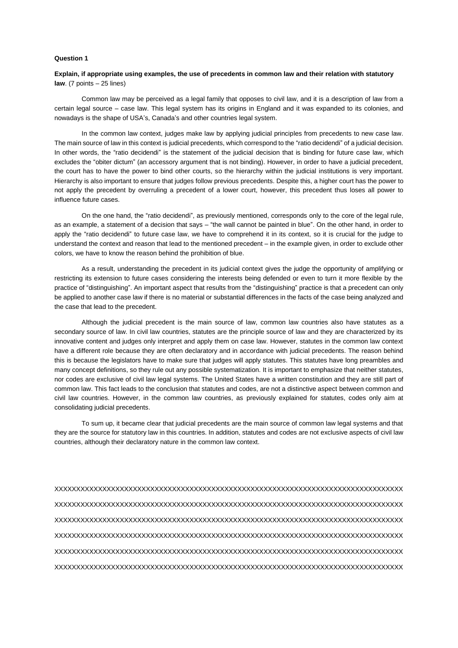#### **Question 1**

### **Explain, if appropriate using examples, the use of precedents in common law and their relation with statutory law**. (7 points – 25 lines)

Common law may be perceived as a legal family that opposes to civil law, and it is a description of law from a certain legal source – case law. This legal system has its origins in England and it was expanded to its colonies, and nowadays is the shape of USA's, Canada's and other countries legal system.

In the common law context, judges make law by applying judicial principles from precedents to new case law. The main source of law in this context is judicial precedents, which correspond to the "ratio decidendi" of a judicial decision. In other words, the "ratio decidendi" is the statement of the judicial decision that is binding for future case law, which excludes the "obiter dictum" (an accessory argument that is not binding). However, in order to have a judicial precedent, the court has to have the power to bind other courts, so the hierarchy within the judicial institutions is very important. Hierarchy is also important to ensure that judges follow previous precedents. Despite this, a higher court has the power to not apply the precedent by overruling a precedent of a lower court, however, this precedent thus loses all power to influence future cases.

On the one hand, the "ratio decidendi", as previously mentioned, corresponds only to the core of the legal rule, as an example, a statement of a decision that says – "the wall cannot be painted in blue". On the other hand, in order to apply the "ratio decidendi" to future case law, we have to comprehend it in its context, so it is crucial for the judge to understand the context and reason that lead to the mentioned precedent – in the example given, in order to exclude other colors, we have to know the reason behind the prohibition of blue.

As a result, understanding the precedent in its judicial context gives the judge the opportunity of amplifying or restricting its extension to future cases considering the interests being defended or even to turn it more flexible by the practice of "distinguishing". An important aspect that results from the "distinguishing" practice is that a precedent can only be applied to another case law if there is no material or substantial differences in the facts of the case being analyzed and the case that lead to the precedent.

Although the judicial precedent is the main source of law, common law countries also have statutes as a secondary source of law. In civil law countries, statutes are the principle source of law and they are characterized by its innovative content and judges only interpret and apply them on case law. However, statutes in the common law context have a different role because they are often declaratory and in accordance with judicial precedents. The reason behind this is because the legislators have to make sure that judges will apply statutes. This statutes have long preambles and many concept definitions, so they rule out any possible systematization. It is important to emphasize that neither statutes, nor codes are exclusive of civil law legal systems. The United States have a written constitution and they are still part of common law. This fact leads to the conclusion that statutes and codes, are not a distinctive aspect between common and civil law countries. However, in the common law countries, as previously explained for statutes, codes only aim at consolidating judicial precedents.

To sum up, it became clear that judicial precedents are the main source of common law legal systems and that they are the source for statutory law in this countries. In addition, statutes and codes are not exclusive aspects of civil law countries, although their declaratory nature in the common law context.

XXXXXXXXXXXXXXXXXXXXXXXXXXXXXXXXXXXXXXXXXXXXXXXXXXXXXXXXXXXXXXXXXXXXXXXXXXXXXXXX XXXXXXXXXXXXXXXXXXXXXXXXXXXXXXXXXXXXXXXXXXXXXXXXXXXXXXXXXXXXXXXXXXXXXXXXXXXXXXXX XXXXXXXXXXXXXXXXXXXXXXXXXXXXXXXXXXXXXXXXXXXXXXXXXXXXXXXXXXXXXXXXXXXXXXXXXXXXXXXX XXXXXXXXXXXXXXXXXXXXXXXXXXXXXXXXXXXXXXXXXXXXXXXXXXXXXXXXXXXXXXXXXXXXXXXXXXXXXXXX XXXXXXXXXXXXXXXXXXXXXXXXXXXXXXXXXXXXXXXXXXXXXXXXXXXXXXXXXXXXXXXXXXXXXXXXXXXXXXXX XXXXXXXXXXXXXXXXXXXXXXXXXXXXXXXXXXXXXXXXXXXXXXXXXXXXXXXXXXXXXXXXXXXXXXXXXXXXXXXX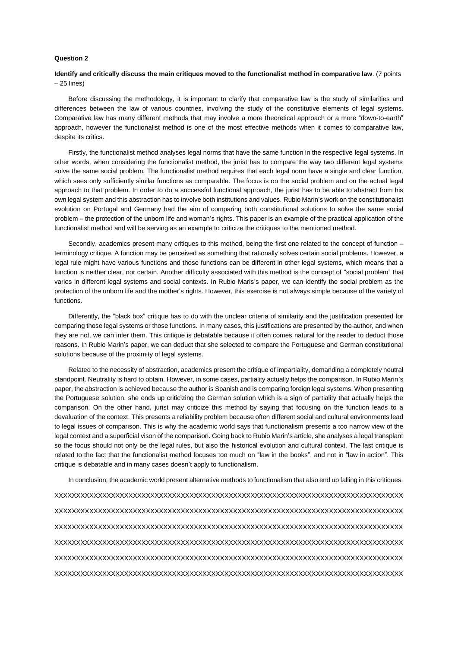### **Question 2**

### **Identify and critically discuss the main critiques moved to the functionalist method in comparative law**. (7 points – 25 lines)

Before discussing the methodology, it is important to clarify that comparative law is the study of similarities and differences between the law of various countries, involving the study of the constitutive elements of legal systems. Comparative law has many different methods that may involve a more theoretical approach or a more "down-to-earth" approach, however the functionalist method is one of the most effective methods when it comes to comparative law, despite its critics.

Firstly, the functionalist method analyses legal norms that have the same function in the respective legal systems. In other words, when considering the functionalist method, the jurist has to compare the way two different legal systems solve the same social problem. The functionalist method requires that each legal norm have a single and clear function, which sees only sufficiently similar functions as comparable. The focus is on the social problem and on the actual legal approach to that problem. In order to do a successful functional approach, the jurist has to be able to abstract from his own legal system and this abstraction has to involve both institutions and values. Rubio Marin's work on the constitutionalist evolution on Portugal and Germany had the aim of comparing both constitutional solutions to solve the same social problem – the protection of the unborn life and woman's rights. This paper is an example of the practical application of the functionalist method and will be serving as an example to criticize the critiques to the mentioned method.

Secondly, academics present many critiques to this method, being the first one related to the concept of function – terminology critique. A function may be perceived as something that rationally solves certain social problems. However, a legal rule might have various functions and those functions can be different in other legal systems, which means that a function is neither clear, nor certain. Another difficulty associated with this method is the concept of "social problem" that varies in different legal systems and social contexts. In Rubio Maris's paper, we can identify the social problem as the protection of the unborn life and the mother's rights. However, this exercise is not always simple because of the variety of functions.

Differently, the "black box" critique has to do with the unclear criteria of similarity and the justification presented for comparing those legal systems or those functions. In many cases, this justifications are presented by the author, and when they are not, we can infer them. This critique is debatable because it often comes natural for the reader to deduct those reasons. In Rubio Marin's paper, we can deduct that she selected to compare the Portuguese and German constitutional solutions because of the proximity of legal systems.

Related to the necessity of abstraction, academics present the critique of impartiality, demanding a completely neutral standpoint. Neutrality is hard to obtain. However, in some cases, partiality actually helps the comparison. In Rubio Marin's paper, the abstraction is achieved because the author is Spanish and is comparing foreign legal systems. When presenting the Portuguese solution, she ends up criticizing the German solution which is a sign of partiality that actually helps the comparison. On the other hand, jurist may criticize this method by saying that focusing on the function leads to a devaluation of the context. This presents a reliability problem because often different social and cultural environments lead to legal issues of comparison. This is why the academic world says that functionalism presents a too narrow view of the legal context and a superficial vison of the comparison. Going back to Rubio Marin's article, she analyses a legal transplant so the focus should not only be the legal rules, but also the historical evolution and cultural context. The last critique is related to the fact that the functionalist method focuses too much on "law in the books", and not in "law in action". This critique is debatable and in many cases doesn't apply to functionalism.

In conclusion, the academic world present alternative methods to functionalism that also end up falling in this critiques.

XXXXXXXXXXXXXXXXXXXXXXXXXXXXXXXXXXXXXXXXXXXXXXXXXXXXXXXXXXXXXXXXXXXXXXXXXXXXXXXX XXXXXXXXXXXXXXXXXXXXXXXXXXXXXXXXXXXXXXXXXXXXXXXXXXXXXXXXXXXXXXXXXXXXXXXXXXXXXXXX XXXXXXXXXXXXXXXXXXXXXXXXXXXXXXXXXXXXXXXXXXXXXXXXXXXXXXXXXXXXXXXXXXXXXXXXXXXXXXXX XXXXXXXXXXXXXXXXXXXXXXXXXXXXXXXXXXXXXXXXXXXXXXXXXXXXXXXXXXXXXXXXXXXXXXXXXXXXXXXX XXXXXXXXXXXXXXXXXXXXXXXXXXXXXXXXXXXXXXXXXXXXXXXXXXXXXXXXXXXXXXXXXXXXXXXXXXXXXXXX XXXXXXXXXXXXXXXXXXXXXXXXXXXXXXXXXXXXXXXXXXXXXXXXXXXXXXXXXXXXXXXXXXXXXXXXXXXXXXXX